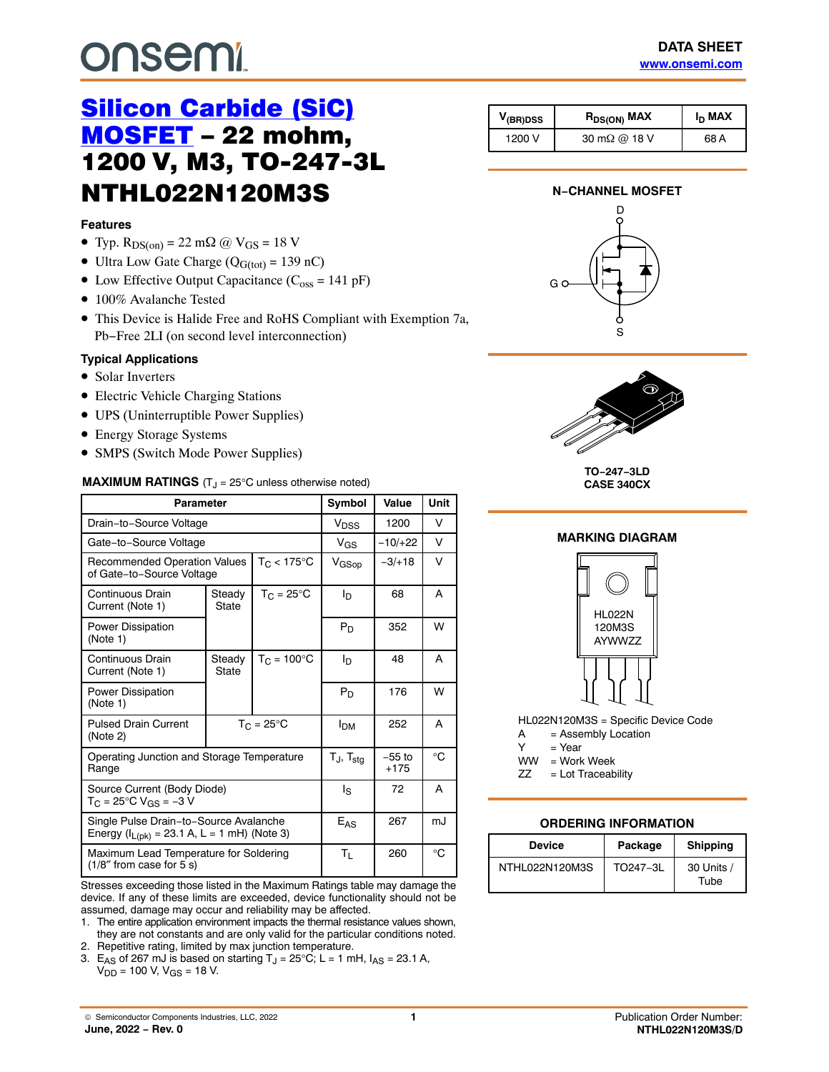# <span id="page-0-0"></span>**onsem!**

## **Features**

- Typ.  $R_{DS(on)} = 22$  m $\Omega$  @  $V_{GS} = 18$  V
- Ultra Low Gate Charge ( $Q_{G(tot)} = 139$  nC)
- Low Effective Output Capacitance  $(C_{\text{oss}} = 141 \text{ pF})$
- 100% Avalanche Tested
- This Device is Halide Free and RoHS Compliant with Exemption 7a, Pb−Free 2LI (on second level interconnection)

## **Typical Applications**

- Solar Inverters
- Electric Vehicle Charging Stations
- UPS (Uninterruptible Power Supplies)
- Energy Storage Systems
- SMPS (Switch Mode Power Supplies)

## **MAXIMUM RATINGS** (T<sub>J</sub> = 25°C unless otherwise noted)

| <b>Parameter</b>                                                                            |                                                                                    |                                | Symbol                   | Value              | <b>Unit</b> |
|---------------------------------------------------------------------------------------------|------------------------------------------------------------------------------------|--------------------------------|--------------------------|--------------------|-------------|
| Drain-to-Source Voltage                                                                     |                                                                                    |                                | V <sub>DSS</sub>         | 1200               | V           |
| Gate-to-Source Voltage                                                                      |                                                                                    |                                | $V_{GS}$                 | $-10/+22$          | V           |
|                                                                                             | $T_C < 175$ °C<br><b>Recommended Operation Values</b><br>of Gate-to-Source Voltage |                                | V <sub>GSop</sub>        | $-3/+18$           | V           |
| Continuous Drain<br>Current (Note 1)                                                        | Steady<br>State                                                                    | $T_{C} = 25^{\circ}$ C         | ΙD                       | 68                 | A           |
| Power Dissipation<br>(Note 1)                                                               |                                                                                    |                                | $P_D$                    | 352                | W           |
| Continuous Drain<br>Current (Note 1)                                                        | Steady<br>State                                                                    | $T_{\rm C}$ = 100 $^{\circ}$ C | I <sub>D</sub>           | 48                 | A           |
| <b>Power Dissipation</b><br>(Note 1)                                                        |                                                                                    |                                | $P_D$                    | 176                | W           |
| <b>Pulsed Drain Current</b><br>(Note 2)                                                     | $T_C = 25^{\circ}C$                                                                |                                | <b>I<sub>DM</sub></b>    | 252                | A           |
| Operating Junction and Storage Temperature<br>Range                                         |                                                                                    |                                | $T_J$ , $T_{\text{stg}}$ | $-55$ to<br>$+175$ | °C          |
| Source Current (Body Diode)<br>$T_C = 25^{\circ}C V_{GS} = -3 V$                            |                                                                                    |                                | ls                       | 72                 | A           |
| Single Pulse Drain-to-Source Avalanche<br>Energy ( $I_{L(pk)} = 23.1$ A, L = 1 mH) (Note 3) |                                                                                    |                                | $E_{AS}$                 | 267                | mJ          |
| Maximum Lead Temperature for Soldering<br>$(1/8"$ from case for 5 s)                        |                                                                                    |                                | $T_{L}$                  | 260                | °C          |

Stresses exceeding those listed in the Maximum Ratings table may damage the device. If any of these limits are exceeded, device functionality should not be assumed, damage may occur and reliability may be affected.

1. The entire application environment impacts the thermal resistance values shown, they are not constants and are only valid for the particular conditions noted.

2. Repetitive rating, limited by max junction temperature.

3. E<sub>AS</sub> of 267 mJ is based on starting  $T_J = 25^{\circ}C$ ; L = 1 mH,  $I_{AS} = 23.1$  A,  $V_{DD}$  = 100 V,  $V_{GS}$  = 18 V.

| $V_{(BR)DSS}$ | $R_{DS(ON)}$ MAX | I <sub>D</sub> MAX |
|---------------|------------------|--------------------|

# **N−CHANNEL MOSFET**

1200 V | 30 m $\Omega$  @ 18 V | 68 A





**TO−247−3LD CASE 340CX**

#### **MARKING DIAGRAM**



HL022N120M3S = Specific Device Code

- A = Assembly Location
- $Y = Year$
- WW = Work Week
- ZZ = Lot Traceability

## **ORDERING INFORMATION**

| <b>Device</b>  | Package  | <b>Shipping</b>    |  |  |
|----------------|----------|--------------------|--|--|
| NTHL022N120M3S | TO247-3L | 30 Units /<br>Tube |  |  |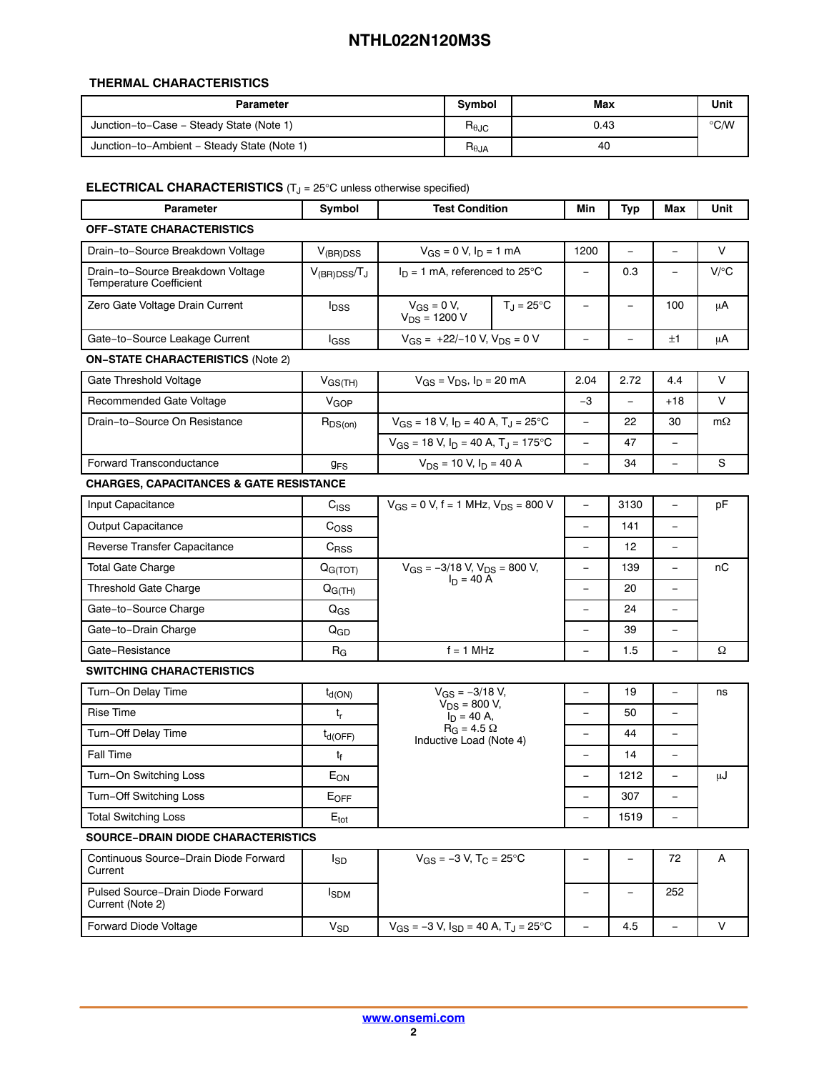# **THERMAL CHARACTERISTICS**

| Parameter                                   | <b>Symbol</b>  | Max  | Unit |
|---------------------------------------------|----------------|------|------|
| Junction-to-Case - Steady State (Note 1)    | $R_{\theta$ JC | 0.43 | ℃⁄W  |
| Junction-to-Ambient - Steady State (Note 1) | $R_{\theta$ JA | 40   |      |

## **ELECTRICAL CHARACTERISTICS** (T<sub>J</sub> = 25°C unless otherwise specified)

| <b>Parameter</b>                                                    | Symbol                | <b>Test Condition</b>                                       | Min                      | <b>Typ</b>               | Max                      | Unit      |
|---------------------------------------------------------------------|-----------------------|-------------------------------------------------------------|--------------------------|--------------------------|--------------------------|-----------|
| <b>OFF-STATE CHARACTERISTICS</b>                                    |                       |                                                             |                          |                          |                          |           |
| Drain-to-Source Breakdown Voltage                                   | $V_{(BR)DSS}$         | $V_{GS} = 0$ V, $I_D = 1$ mA                                | 1200                     |                          |                          | V         |
| Drain-to-Source Breakdown Voltage<br><b>Temperature Coefficient</b> | $V_{(BR)DSS}/T_J$     | $I_D = 1$ mA, referenced to 25°C                            | $\overline{\phantom{a}}$ | 0.3                      | $\qquad \qquad -$        | $V$ /°C   |
| Zero Gate Voltage Drain Current                                     | $I_{DSS}$             | $V_{GS} = 0 V$ ,<br>$T_{\rm J}$ = 25°C<br>$V_{DS}$ = 1200 V | $\frac{1}{2}$            | $\equiv$                 | 100                      | μA        |
| Gate-to-Source Leakage Current                                      | l <sub>GSS</sub>      | $V_{GS}$ = +22/-10 V, $V_{DS}$ = 0 V                        | $\overline{\phantom{0}}$ |                          | ±1                       | μA        |
| <b>ON-STATE CHARACTERISTICS (Note 2)</b>                            |                       |                                                             |                          |                          |                          |           |
| Gate Threshold Voltage                                              | $V_{GS(TH)}$          | $V_{GS} = V_{DS}$ , $I_D = 20$ mA                           | 2.04                     | 2.72                     | 4.4                      | V         |
| Recommended Gate Voltage                                            | V <sub>GOP</sub>      |                                                             | -3                       | $\overline{\phantom{0}}$ | $+18$                    | V         |
| Drain-to-Source On Resistance                                       | $R_{DS(on)}$          | $V_{GS}$ = 18 V, $I_D$ = 40 A, T <sub>J</sub> = 25°C        | $\overline{\phantom{a}}$ | 22                       | 30                       | $m\Omega$ |
|                                                                     |                       | $V_{GS}$ = 18 V, $I_D$ = 40 A, T <sub>J</sub> = 175°C       | $\equiv$                 | 47                       | $\overline{\phantom{0}}$ |           |
| <b>Forward Transconductance</b>                                     | <b>g<sub>FS</sub></b> | $V_{DS}$ = 10 V, $I_D$ = 40 A                               | $\frac{1}{2}$            | 34                       | $\equiv$                 | S         |
| <b>CHARGES, CAPACITANCES &amp; GATE RESISTANCE</b>                  |                       |                                                             |                          |                          |                          |           |
| Input Capacitance                                                   | C <sub>ISS</sub>      | $V_{GS}$ = 0 V, f = 1 MHz, $V_{DS}$ = 800 V                 | $\overline{\phantom{a}}$ | 3130                     | $\overline{\phantom{0}}$ | pF        |
| Output Capacitance                                                  | $C_{OSS}$             |                                                             | $\equiv$                 | 141                      | $\equiv$                 |           |
| Reverse Transfer Capacitance                                        | $C_{RSS}$             |                                                             | $\qquad \qquad -$        | 12                       | $\overline{\phantom{0}}$ |           |
| <b>Total Gate Charge</b>                                            | Q <sub>G(TOT)</sub>   | $V_{GS} = -3/18$ V, $V_{DS} = 800$ V,                       | $\equiv$                 | 139                      | ÷,                       | nC        |
| <b>Threshold Gate Charge</b>                                        | $Q_{G(TH)}$           | $I_D = 40 A$                                                | $\overline{\phantom{a}}$ | 20                       | $\equiv$                 |           |
| Gate-to-Source Charge                                               | $Q_{GS}$              |                                                             | $\overline{\phantom{a}}$ | 24                       | $\qquad \qquad -$        |           |
| Gate-to-Drain Charge                                                | $Q_{GD}$              |                                                             | $\overline{\phantom{0}}$ | 39                       | ÷,                       |           |
| Gate-Resistance                                                     | $R_G$                 | $f = 1$ MHz                                                 | $\qquad \qquad -$        | 1.5                      | $\equiv$                 | Ω         |
| <b>SWITCHING CHARACTERISTICS</b>                                    |                       |                                                             |                          |                          |                          |           |
| Turn-On Delay Time                                                  | $t_{d(ON)}$           | $V_{GS} = -3/18 V$ ,                                        | $\qquad \qquad -$        | 19                       | $\overline{\phantom{0}}$ | ns        |
| Rise Time                                                           | $t_r$                 | $V_{DS}$ = 800 V,<br>$I_D = 40 A$ ,                         |                          | 50                       |                          |           |
| Turn-Off Delay Time                                                 | $t_{d(OFF)}$          | $R_G = 4.5 \Omega$<br>Inductive Load (Note 4)               | $\qquad \qquad -$        | 44                       | $\qquad \qquad -$        |           |
| Fall Time                                                           | $t_f$                 |                                                             | $\qquad \qquad -$        | 14                       | $\overline{\phantom{0}}$ |           |
| Turn-On Switching Loss                                              | $E_{ON}$              |                                                             |                          | 1212                     | $\qquad \qquad -$        | μJ        |
| Turn-Off Switching Loss                                             | $E_{OFF}$             |                                                             |                          | 307                      |                          |           |
| <b>Total Switching Loss</b>                                         | $E_{\text{tot}}$      |                                                             |                          | 1519                     |                          |           |
| <b>SOURCE-DRAIN DIODE CHARACTERISTICS</b>                           |                       |                                                             |                          |                          |                          |           |
| Continuous Source-Drain Diode Forward<br>Current                    | l <sub>SD</sub>       | $V_{GS} = -3 V$ , T <sub>C</sub> = 25°C                     |                          | $\overline{\phantom{0}}$ | 72                       | Α         |
| Pulsed Source-Drain Diode Forward<br>Current (Note 2)               | $I_{SDM}$             |                                                             |                          |                          | 252                      |           |
| Forward Diode Voltage                                               | <b>V<sub>SD</sub></b> | $V_{GS} = -3 V$ , $I_{SD} = 40 A$ , $T_J = 25$ °C           | $\equiv$                 | 4.5                      | $\equiv$                 | V         |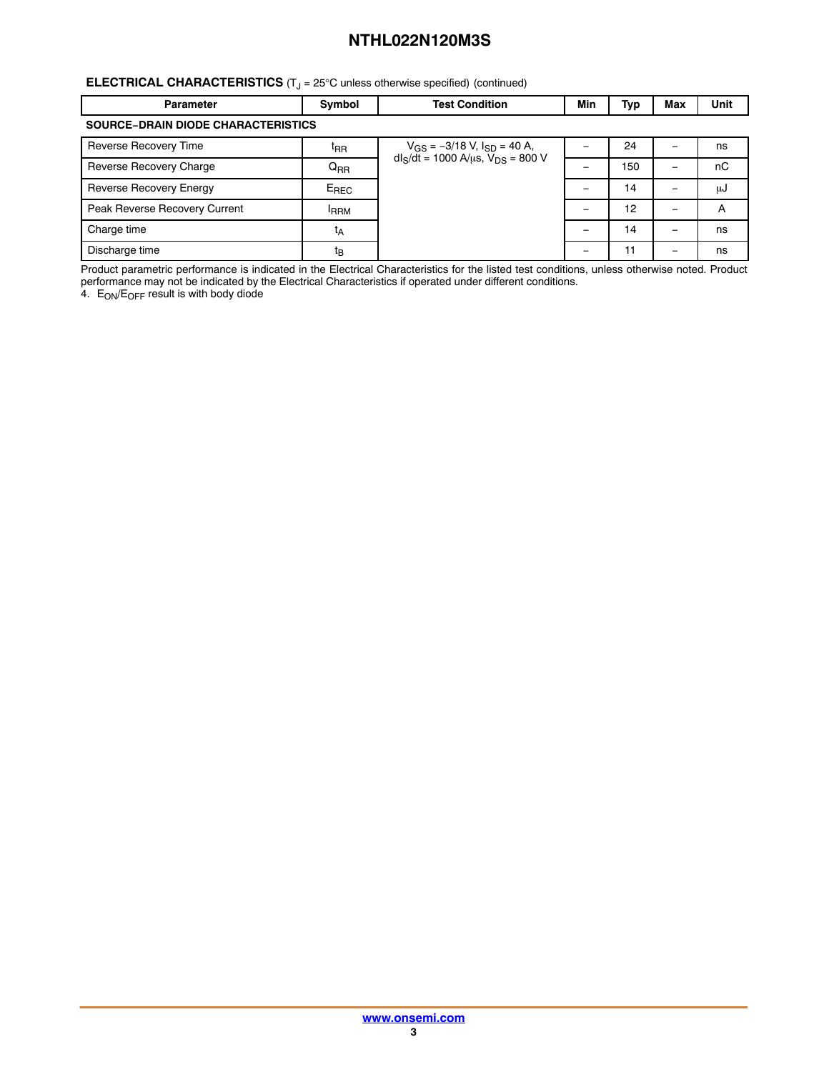# <span id="page-2-0"></span>**ELECTRICAL CHARACTERISTICS** (T<sub>J</sub> = 25°C unless otherwise specified) (continued)

| <b>Parameter</b>                          | Symbol          | <b>Test Condition</b>                       | Min | Тур | Max | Unit |  |
|-------------------------------------------|-----------------|---------------------------------------------|-----|-----|-----|------|--|
| <b>SOURCE-DRAIN DIODE CHARACTERISTICS</b> |                 |                                             |     |     |     |      |  |
| Reverse Recovery Time                     | t <sub>RR</sub> | $V_{GS} = -3/18$ V, $I_{SD} = 40$ A,        |     | 24  |     | ns   |  |
| Reverse Recovery Charge                   | $Q_{RR}$        | $dl_S/dt = 1000 A/\mu s$ , $V_{DS} = 800 V$ |     | 150 |     | nC   |  |
| Reverse Recovery Energy                   | $E_{REC}$       |                                             |     | 14  |     | μJ   |  |
| Peak Reverse Recovery Current             | <b>FRRM</b>     |                                             |     | 12  |     | A    |  |
| Charge time                               | tд              |                                             |     | 14  |     | ns   |  |
| Discharge time                            | t <sub>Β</sub>  |                                             |     | 11  |     | ns   |  |

Product parametric performance is indicated in the Electrical Characteristics for the listed test conditions, unless otherwise noted. Product performance may not be indicated by the Electrical Characteristics if operated under different conditions.

4.  $\,$  E<sub>ON</sub>/E<sub>OFF</sub> result is with body diode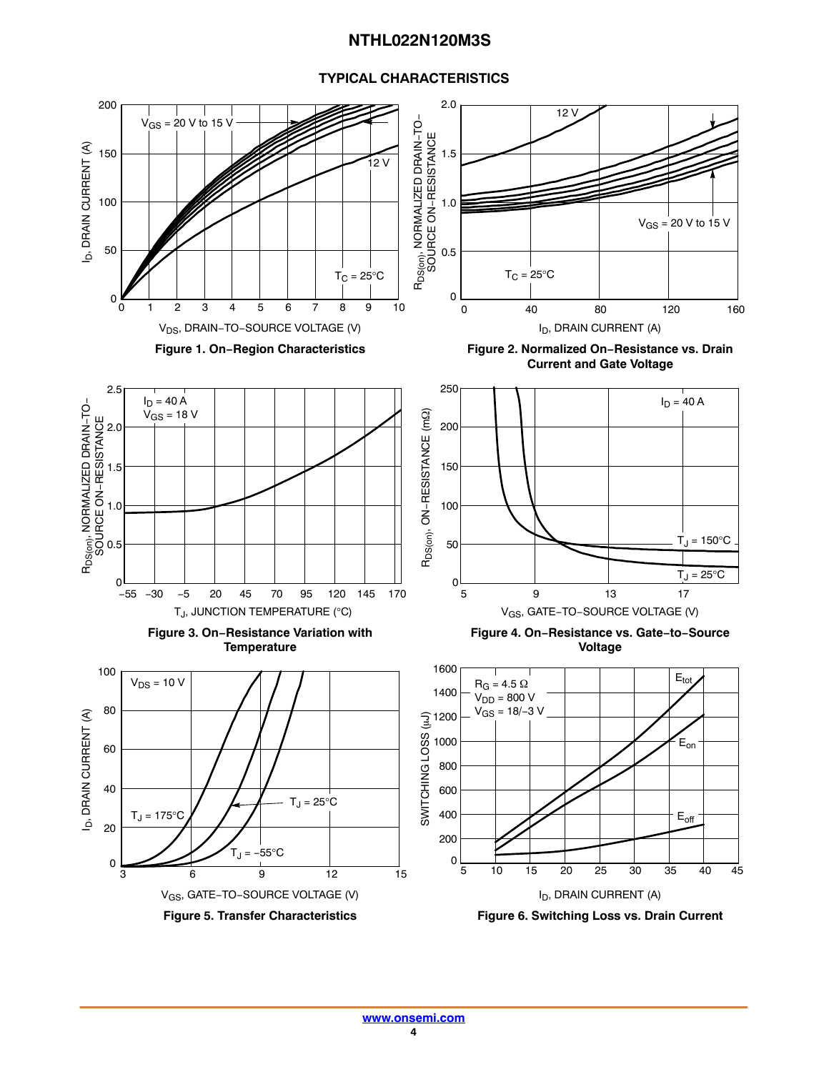# **TYPICAL CHARACTERISTICS**

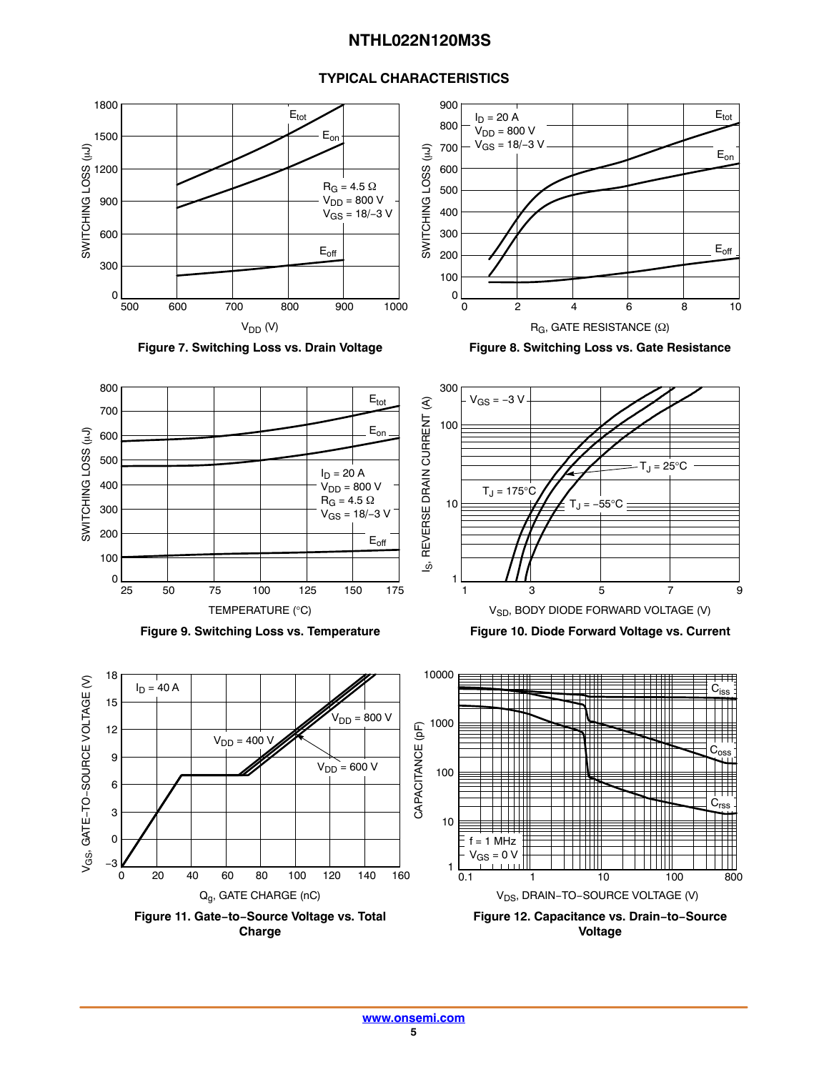# **TYPICAL CHARACTERISTICS**

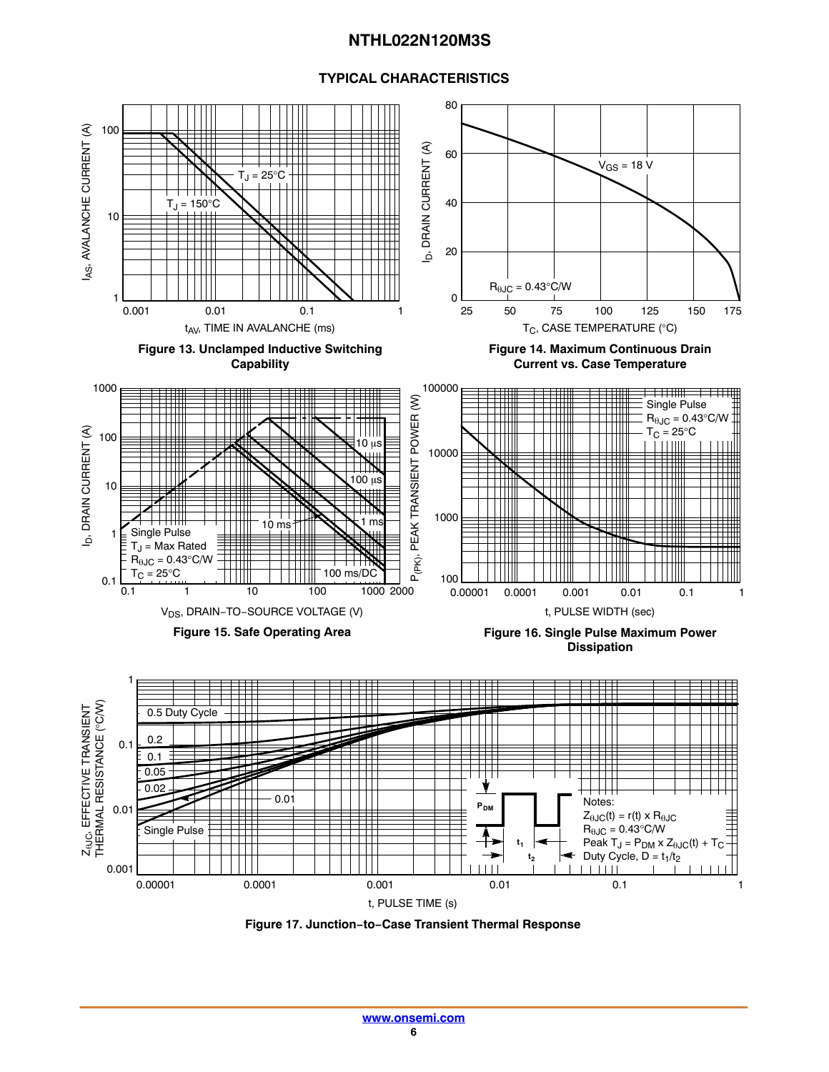# **TYPICAL CHARACTERISTICS**



**Figure 17. Junction−to−Case Transient Thermal Response**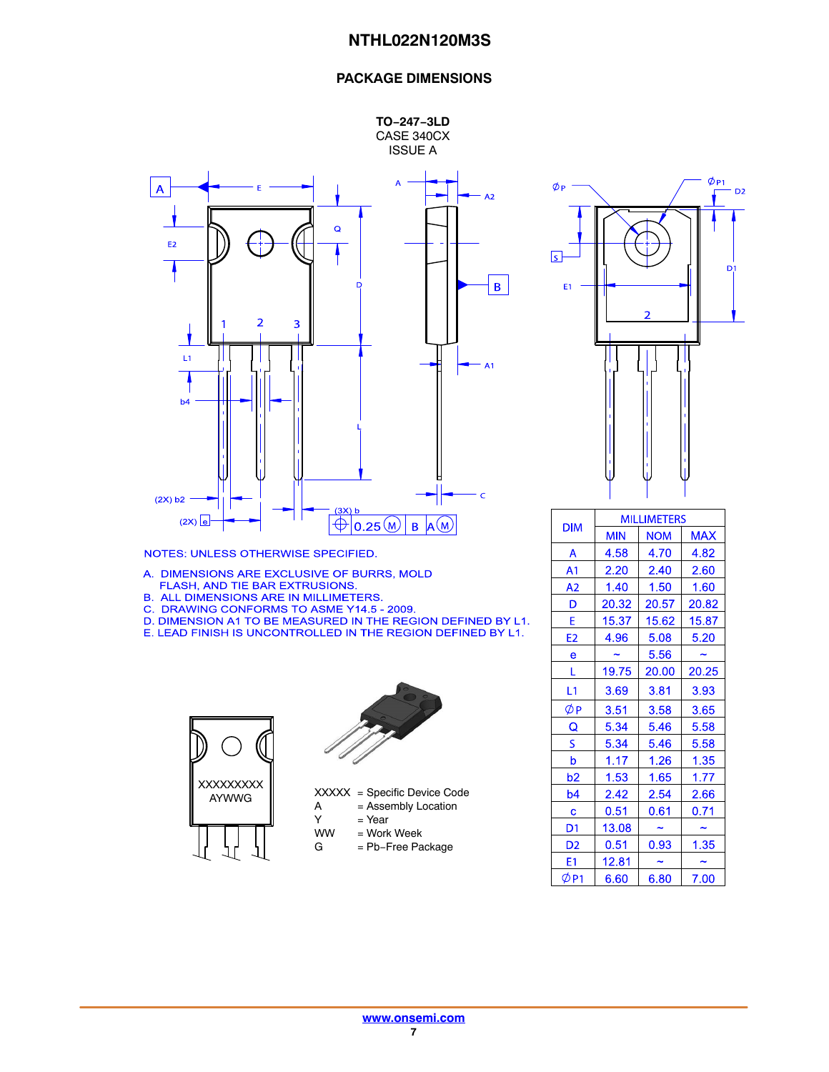# **PACKAGE DIMENSIONS**





NOTES: UNLESS OTHERWISE SPECIFIED.

- A. DIMENSIONS ARE EXCLUSIVE OF BURRS, MOLD FLASH, AND TIE BAR EXTRUSIONS.
- **B. ALL DIMENSIONS ARE IN MILLIMETERS.**
- C. DRAWING CONFORMS TO ASME Y14.5 2009.
- D. DIMENSION A1 TO BE MEASURED IN THE REGION DEFINED BY L1.
- E. LEAD FINISH IS UNCONTROLLED IN THE REGION DEFINED BY L1.





XXXXX = Specific Device Code  $A =$  Assembly Location<br>  $Y =$  Year

- Y = Year<br>WW = Work
	- = Work Week
- G = Pb−Free Package



|                | <b>MILLIMETERS</b> |            |            |  |  |
|----------------|--------------------|------------|------------|--|--|
| <b>DIM</b>     | <b>MIN</b>         | <b>NOM</b> | <b>MAX</b> |  |  |
| A              | 4.58               | 4.70       | 4.82       |  |  |
| A1             | 2.20               | 2.40       | 2.60       |  |  |
| A <sub>2</sub> | 1.40               | 1.50       | 1.60       |  |  |
| D              | 20.32              | 20.57      | 20.82      |  |  |
| E              | 15.37              | 15.62      | 15.87      |  |  |
| E <sub>2</sub> | 4.96               | 5.08       | 5.20       |  |  |
| e              |                    | 5.56       |            |  |  |
| L              | 19.75              | 20.00      | 20.25      |  |  |
| L1             | 3.69               | 3.81       | 3.93       |  |  |
| ØР             | 3.51               | 3.58       | 3.65       |  |  |
| Q              | 5.34               | 5.46       | 5.58       |  |  |
| S              | 5.34               | 5.46       | 5.58       |  |  |
| b              | 1.17               | 1.26       | 1.35       |  |  |
| b <sub>2</sub> | 1.53               | 1.65       | 1.77       |  |  |
| b4             | 2.42               | 2.54       | 2.66       |  |  |
| c              | 0.51               | 0.61       | 0.71       |  |  |
| D1             | 13.08              |            |            |  |  |
| D <sub>2</sub> | 0.51               | 0.93       | 1.35       |  |  |
| E1             | 12.81              |            |            |  |  |
| ØP1            | 6.60               | 6.80       | 7.00       |  |  |